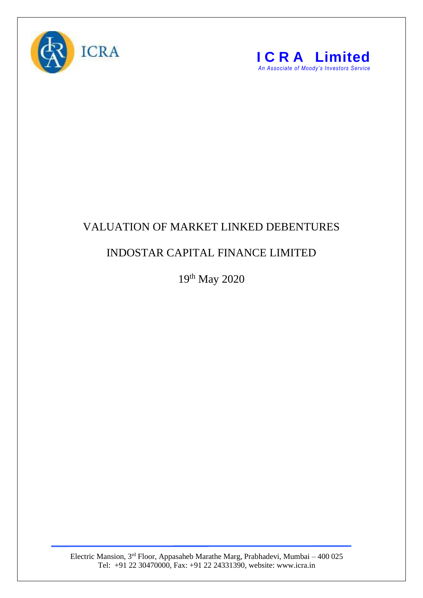



## VALUATION OF MARKET LINKED DEBENTURES

## INDOSTAR CAPITAL FINANCE LIMITED

19<sup>th</sup> May 2020

Electric Mansion, 3<sup>rd</sup> Floor, Appasaheb Marathe Marg, Prabhadevi, Mumbai – 400 025 Tel: +91 22 30470000, Fax: +91 22 24331390, website: www.icra.in